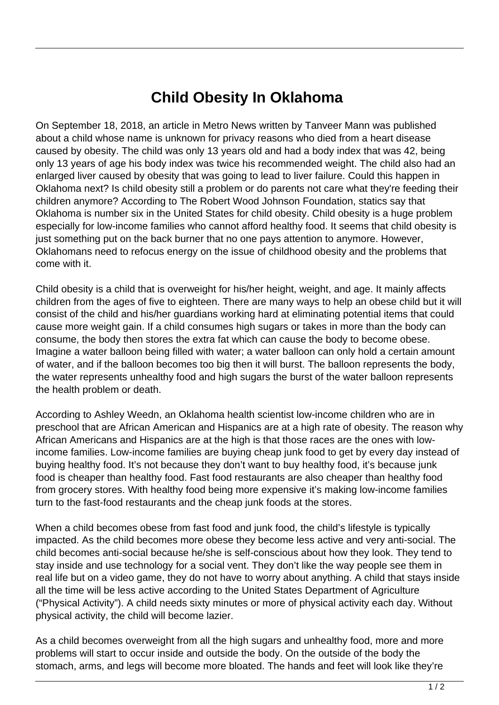## **Child Obesity In Oklahoma**

On September 18, 2018, an article in Metro News written by Tanveer Mann was published about a child whose name is unknown for privacy reasons who died from a heart disease caused by obesity. The child was only 13 years old and had a body index that was 42, being only 13 years of age his body index was twice his recommended weight. The child also had an enlarged liver caused by obesity that was going to lead to liver failure. Could this happen in Oklahoma next? Is child obesity still a problem or do parents not care what they're feeding their children anymore? According to The Robert Wood Johnson Foundation, statics say that Oklahoma is number six in the United States for child obesity. Child obesity is a huge problem especially for low-income families who cannot afford healthy food. It seems that child obesity is just something put on the back burner that no one pays attention to anymore. However, Oklahomans need to refocus energy on the issue of childhood obesity and the problems that come with it.

Child obesity is a child that is overweight for his/her height, weight, and age. It mainly affects children from the ages of five to eighteen. There are many ways to help an obese child but it will consist of the child and his/her guardians working hard at eliminating potential items that could cause more weight gain. If a child consumes high sugars or takes in more than the body can consume, the body then stores the extra fat which can cause the body to become obese. Imagine a water balloon being filled with water; a water balloon can only hold a certain amount of water, and if the balloon becomes too big then it will burst. The balloon represents the body, the water represents unhealthy food and high sugars the burst of the water balloon represents the health problem or death.

According to Ashley Weedn, an Oklahoma health scientist low-income children who are in preschool that are African American and Hispanics are at a high rate of obesity. The reason why African Americans and Hispanics are at the high is that those races are the ones with lowincome families. Low-income families are buying cheap junk food to get by every day instead of buying healthy food. It's not because they don't want to buy healthy food, it's because junk food is cheaper than healthy food. Fast food restaurants are also cheaper than healthy food from grocery stores. With healthy food being more expensive it's making low-income families turn to the fast-food restaurants and the cheap junk foods at the stores.

When a child becomes obese from fast food and junk food, the child's lifestyle is typically impacted. As the child becomes more obese they become less active and very anti-social. The child becomes anti-social because he/she is self-conscious about how they look. They tend to stay inside and use technology for a social vent. They don't like the way people see them in real life but on a video game, they do not have to worry about anything. A child that stays inside all the time will be less active according to the United States Department of Agriculture ("Physical Activity"). A child needs sixty minutes or more of physical activity each day. Without physical activity, the child will become lazier.

As a child becomes overweight from all the high sugars and unhealthy food, more and more problems will start to occur inside and outside the body. On the outside of the body the stomach, arms, and legs will become more bloated. The hands and feet will look like they're